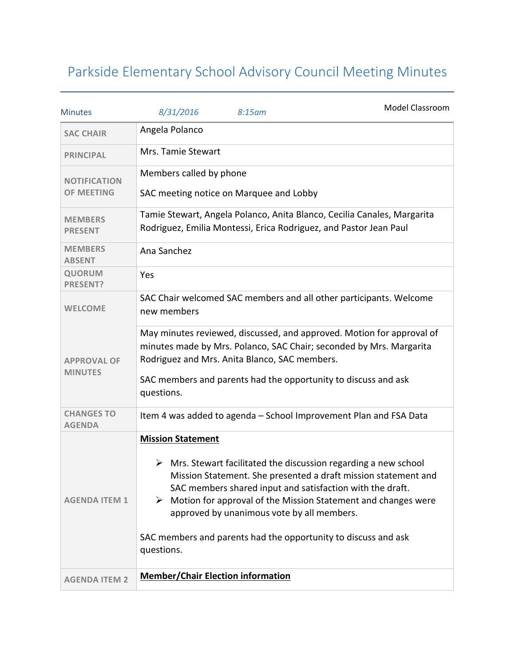## Parkside Elementary School Advisory Council Meeting Minutes

| <b>Minutes</b>                           | 8/31/2016                                   | 8:15am                                        | Model Classroom                                                                                                                                                                                                                                                                                                                                   |
|------------------------------------------|---------------------------------------------|-----------------------------------------------|---------------------------------------------------------------------------------------------------------------------------------------------------------------------------------------------------------------------------------------------------------------------------------------------------------------------------------------------------|
| <b>SAC CHAIR</b>                         | Angela Polanco                              |                                               |                                                                                                                                                                                                                                                                                                                                                   |
| <b>PRINCIPAL</b>                         | Mrs. Tamie Stewart                          |                                               |                                                                                                                                                                                                                                                                                                                                                   |
| <b>NOTIFICATION</b><br><b>OF MEETING</b> | Members called by phone                     | SAC meeting notice on Marquee and Lobby       |                                                                                                                                                                                                                                                                                                                                                   |
| <b>MEMBERS</b><br><b>PRESENT</b>         |                                             |                                               | Tamie Stewart, Angela Polanco, Anita Blanco, Cecilia Canales, Margarita<br>Rodriguez, Emilia Montessi, Erica Rodriguez, and Pastor Jean Paul                                                                                                                                                                                                      |
| <b>MEMBERS</b><br><b>ABSENT</b>          | Ana Sanchez                                 |                                               |                                                                                                                                                                                                                                                                                                                                                   |
| <b>QUORUM</b><br><b>PRESENT?</b>         | Yes                                         |                                               |                                                                                                                                                                                                                                                                                                                                                   |
| <b>WELCOME</b>                           | new members                                 |                                               | SAC Chair welcomed SAC members and all other participants. Welcome                                                                                                                                                                                                                                                                                |
| <b>APPROVAL OF</b><br><b>MINUTES</b>     | questions.                                  | Rodriguez and Mrs. Anita Blanco, SAC members. | May minutes reviewed, discussed, and approved. Motion for approval of<br>minutes made by Mrs. Polanco, SAC Chair; seconded by Mrs. Margarita<br>SAC members and parents had the opportunity to discuss and ask                                                                                                                                    |
| <b>CHANGES TO</b><br><b>AGENDA</b>       |                                             |                                               | Item 4 was added to agenda - School Improvement Plan and FSA Data                                                                                                                                                                                                                                                                                 |
| <b>AGENDA ITEM 1</b>                     | <b>Mission Statement</b><br>➤<br>questions. | approved by unanimous vote by all members.    | $\triangleright$ Mrs. Stewart facilitated the discussion regarding a new school<br>Mission Statement. She presented a draft mission statement and<br>SAC members shared input and satisfaction with the draft.<br>Motion for approval of the Mission Statement and changes were<br>SAC members and parents had the opportunity to discuss and ask |
| <b>AGENDA ITEM 2</b>                     | <b>Member/Chair Election information</b>    |                                               |                                                                                                                                                                                                                                                                                                                                                   |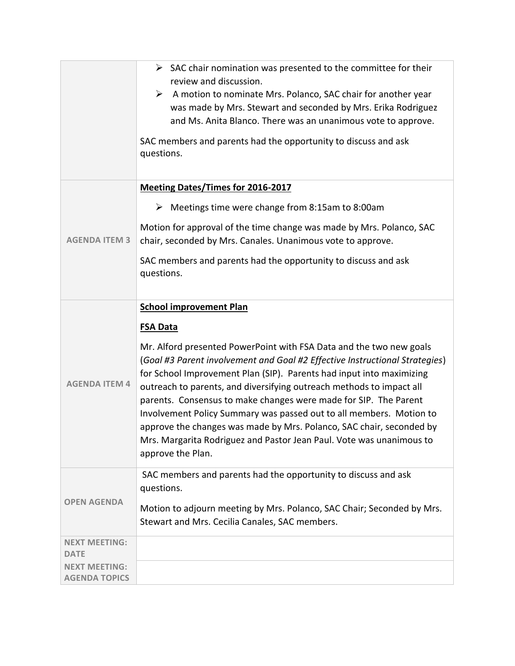|                                              | $\triangleright$ SAC chair nomination was presented to the committee for their<br>review and discussion.<br>A motion to nominate Mrs. Polanco, SAC chair for another year<br>➤<br>was made by Mrs. Stewart and seconded by Mrs. Erika Rodriguez<br>and Ms. Anita Blanco. There was an unanimous vote to approve.<br>SAC members and parents had the opportunity to discuss and ask<br>questions.                                                                                                                                                                                                                                                                        |  |
|----------------------------------------------|-------------------------------------------------------------------------------------------------------------------------------------------------------------------------------------------------------------------------------------------------------------------------------------------------------------------------------------------------------------------------------------------------------------------------------------------------------------------------------------------------------------------------------------------------------------------------------------------------------------------------------------------------------------------------|--|
| <b>AGENDA ITEM 3</b>                         | <b>Meeting Dates/Times for 2016-2017</b><br>Meetings time were change from 8:15am to 8:00am<br>➤<br>Motion for approval of the time change was made by Mrs. Polanco, SAC<br>chair, seconded by Mrs. Canales. Unanimous vote to approve.<br>SAC members and parents had the opportunity to discuss and ask<br>questions.                                                                                                                                                                                                                                                                                                                                                 |  |
| <b>AGENDA ITEM 4</b>                         | <b>School improvement Plan</b><br><b>FSA Data</b><br>Mr. Alford presented PowerPoint with FSA Data and the two new goals<br>(Goal #3 Parent involvement and Goal #2 Effective Instructional Strategies)<br>for School Improvement Plan (SIP). Parents had input into maximizing<br>outreach to parents, and diversifying outreach methods to impact all<br>parents. Consensus to make changes were made for SIP. The Parent<br>Involvement Policy Summary was passed out to all members. Motion to<br>approve the changes was made by Mrs. Polanco, SAC chair, seconded by<br>Mrs. Margarita Rodriguez and Pastor Jean Paul. Vote was unanimous to<br>approve the Plan. |  |
| <b>OPEN AGENDA</b>                           | SAC members and parents had the opportunity to discuss and ask<br>questions.<br>Motion to adjourn meeting by Mrs. Polanco, SAC Chair; Seconded by Mrs.<br>Stewart and Mrs. Cecilia Canales, SAC members.                                                                                                                                                                                                                                                                                                                                                                                                                                                                |  |
| <b>NEXT MEETING:</b><br><b>DATE</b>          |                                                                                                                                                                                                                                                                                                                                                                                                                                                                                                                                                                                                                                                                         |  |
| <b>NEXT MEETING:</b><br><b>AGENDA TOPICS</b> |                                                                                                                                                                                                                                                                                                                                                                                                                                                                                                                                                                                                                                                                         |  |